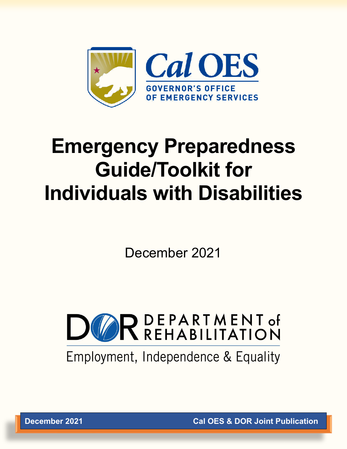

# **Emergency Preparedness Guide/Toolkit for Individuals with Disabilities**

December 2021



Employment, Independence & Equality

**December 2021 Cal OES & DOR Joint Publication**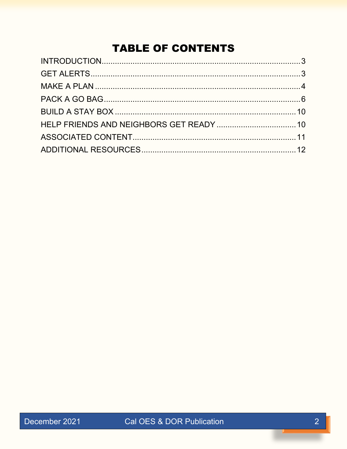# **TABLE OF CONTENTS**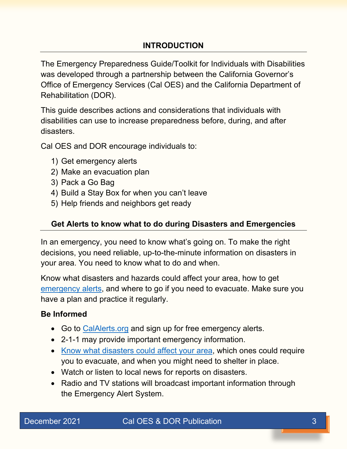# **INTRODUCTION**

<span id="page-2-0"></span>The Emergency Preparedness Guide/Toolkit for Individuals with Disabilities was developed through a partnership between the California Governor's Office of Emergency Services (Cal OES) and the California Department of Rehabilitation (DOR).

This guide describes actions and considerations that individuals with disabilities can use to increase preparedness before, during, and after disasters.

Cal OES and DOR encourage individuals to:

- 1) Get emergency alerts
- 2) Make an evacuation plan
- 3) Pack a Go Bag
- 4) Build a Stay Box for when you can't leave
- 5) Help friends and neighbors get ready

# <span id="page-2-1"></span>**Get Alerts to know what to do during Disasters and Emergencies**

In an emergency, you need to know what's going on. To make the right decisions, you need reliable, up-to-the-minute information on disasters in your area. You need to know what to do and when.

Know what disasters and hazards could affect your area, how to get [emergency alerts,](http://calalerts.org/signup.html) and where to go if you need to evacuate. Make sure you have a plan and practice it regularly.

# **Be Informed**

- Go to [CalAlerts.org](http://calalerts.org/signup.html) and sign up for free emergency alerts.
- 2-1-1 may provide important emergency information.
- [Know what disasters could affect your area,](https://myhazards.caloes.ca.gov/) which ones could require you to evacuate, and when you might need to shelter in place.
- Watch or listen to local news for reports on disasters.
- Radio and TV stations will broadcast important information through the Emergency Alert System.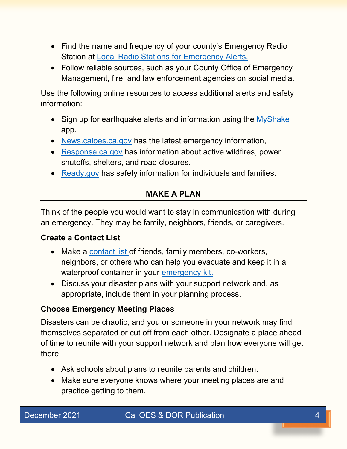- Find the name and frequency of your county's Emergency Radio Station at [Local Radio Stations for Emergency Alerts.](https://www.listoscalifornia.org/online-course/en/files/508_LIS_071_062420_RSD_EN.pdf)
- Follow reliable sources, such as your County Office of Emergency Management, fire, and law enforcement agencies on social media.

Use the following online resources to access additional alerts and safety information:

- Sign up for earthquake alerts and information using the [MyShake](https://myshake.berkeley.edu/) app.
- [News.caloes.ca.gov](http://news.caloes.ca.gov/?fbclid=IwAR1Z2wcAxHax-UcgK3h5nkA8-kDs7ZFfIuN4umW3xBxdU1bGOtl2L25Oy5A) has the latest emergency information,
- [Response.ca.gov](https://response.ca.gov/) has information about active wildfires, power shutoffs, shelters, and road closures.
- <span id="page-3-0"></span>• [Ready.gov](https://www.ready.gov/) has safety information for individuals and families.

# **MAKE A PLAN**

Think of the people you would want to stay in communication with during an emergency. They may be family, neighbors, friends, or caregivers.

# **Create a Contact List**

- Make a [contact list](https://www.listoscalifornia.org/online-course/en/files/LIS_DRG_ConnectProtect_v02.pdf) of friends, family members, co-workers, neighbors, or others who can help you evacuate and keep it in a waterproof container in your [emergency kit.](https://www.ready.gov/kit)
- Discuss your disaster plans with your support network and, as appropriate, include them in your planning process.

# **Choose Emergency Meeting Places**

Disasters can be chaotic, and you or someone in your network may find themselves separated or cut off from each other. Designate a place ahead of time to reunite with your support network and plan how everyone will get there.

- Ask schools about plans to reunite parents and children.
- Make sure everyone knows where your meeting places are and practice getting to them.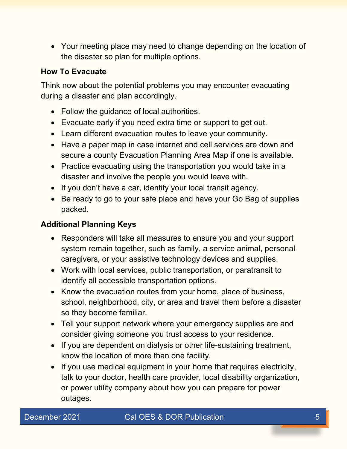• Your meeting place may need to change depending on the location of the disaster so plan for multiple options.

#### **How To Evacuate**

Think now about the potential problems you may encounter evacuating during a disaster and plan accordingly.

- Follow the guidance of local authorities.
- Evacuate early if you need extra time or support to get out.
- Learn different evacuation routes to leave your community.
- Have a paper map in case internet and cell services are down and secure a county Evacuation Planning Area Map if one is available.
- Practice evacuating using the transportation you would take in a disaster and involve the people you would leave with.
- If you don't have a car, identify your local transit agency.
- Be ready to go to your safe place and have your Go Bag of supplies packed.

# **Additional Planning Keys**

- Responders will take all measures to ensure you and your support system remain together, such as family, a service animal, personal caregivers, or your assistive technology devices and supplies.
- Work with local services, public transportation, or paratransit to identify all accessible transportation options.
- Know the evacuation routes from your home, place of business, school, neighborhood, city, or area and travel them before a disaster so they become familiar.
- Tell your support network where your emergency supplies are and consider giving someone you trust access to your residence.
- If you are dependent on dialysis or other life-sustaining treatment, know the location of more than one facility.
- If you use medical equipment in your home that requires electricity, talk to your doctor, health care provider, local disability organization, or power utility company about how you can prepare for power outages.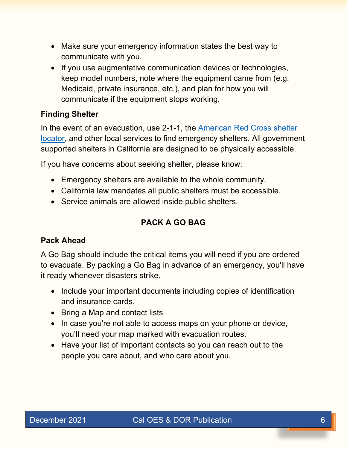- Make sure your emergency information states the best way to communicate with you.
- If you use augmentative communication devices or technologies, keep model numbers, note where the equipment came from (e.g. Medicaid, private insurance, etc.), and plan for how you will communicate if the equipment stops working.

#### **Finding Shelter**

In the event of an evacuation, use 2-1-1, the [American Red Cross shelter](https://www.redcross.org/get-help/disaster-relief-and-recovery-services/find-an-open-shelter.html)  [locator,](https://www.redcross.org/get-help/disaster-relief-and-recovery-services/find-an-open-shelter.html) and other local services to find emergency shelters. All government supported shelters in California are designed to be physically accessible.

If you have concerns about seeking shelter, please know:

- Emergency shelters are available to the whole community.
- California law mandates all public shelters must be accessible.
- <span id="page-5-0"></span>• Service animals are allowed inside public shelters.

# **PACK A GO BAG**

#### **Pack Ahead**

A Go Bag should include the critical items you will need if you are ordered to evacuate. By packing a Go Bag in advance of an emergency, you'll have it ready whenever disasters strike.

- Include your important documents including copies of identification and insurance cards.
- Bring a Map and contact lists
- In case you're not able to access maps on your phone or device, you'll need your map marked with evacuation routes.
- Have your list of important contacts so you can reach out to the people you care about, and who care about you.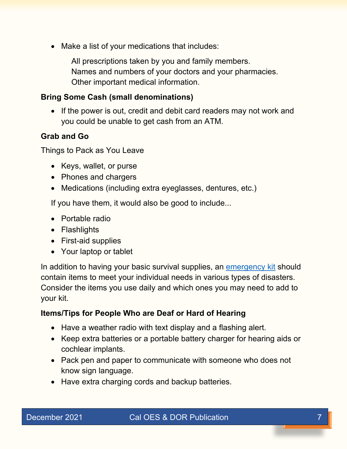• Make a list of your medications that includes:

All prescriptions taken by you and family members. Names and numbers of your doctors and your pharmacies. Other important medical information.

#### **Bring Some Cash (small denominations)**

• If the power is out, credit and debit card readers may not work and you could be unable to get cash from an ATM.

#### **Grab and Go**

Things to Pack as You Leave

- Keys, wallet, or purse
- Phones and chargers
- Medications (including extra eyeglasses, dentures, etc.)

If you have them, it would also be good to include...

- Portable radio
- Flashlights
- First-aid supplies
- Your laptop or tablet

In addition to having your basic survival supplies, an [emergency kit](https://www.ready.gov/kit) should contain items to meet your individual needs in various types of disasters. Consider the items you use daily and which ones you may need to add to your kit.

#### **Items/Tips for People Who are Deaf or Hard of Hearing**

- Have a weather radio with text display and a flashing alert.
- Keep extra batteries or a portable battery charger for hearing aids or cochlear implants.
- Pack pen and paper to communicate with someone who does not know sign language.
- Have extra charging cords and backup batteries.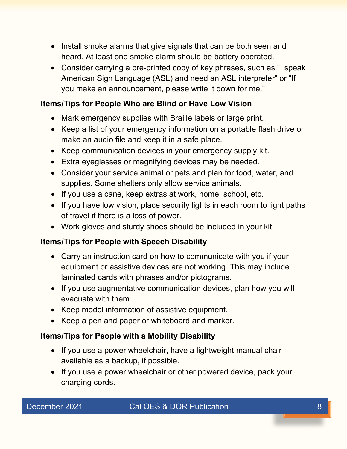- Install smoke alarms that give signals that can be both seen and heard. At least one smoke alarm should be battery operated.
- Consider carrying a pre-printed copy of key phrases, such as "I speak American Sign Language (ASL) and need an ASL interpreter" or "If you make an announcement, please write it down for me."

# **Items/Tips for People Who are Blind or Have Low Vision**

- Mark emergency supplies with Braille labels or large print.
- Keep a list of your emergency information on a portable flash drive or make an audio file and keep it in a safe place.
- Keep communication devices in your emergency supply kit.
- Extra eyeglasses or magnifying devices may be needed.
- Consider your service animal or pets and plan for food, water, and supplies. Some shelters only allow service animals.
- If you use a cane, keep extras at work, home, school, etc.
- If you have low vision, place security lights in each room to light paths of travel if there is a loss of power.
- Work gloves and sturdy shoes should be included in your kit.

# **Items/Tips for People with Speech Disability**

- Carry an instruction card on how to communicate with you if your equipment or assistive devices are not working. This may include laminated cards with phrases and/or pictograms.
- If you use augmentative communication devices, plan how you will evacuate with them.
- Keep model information of assistive equipment.
- Keep a pen and paper or whiteboard and marker.

# **Items/Tips for People with a Mobility Disability**

- If you use a power wheelchair, have a lightweight manual chair available as a backup, if possible.
- If you use a power wheelchair or other powered device, pack your charging cords.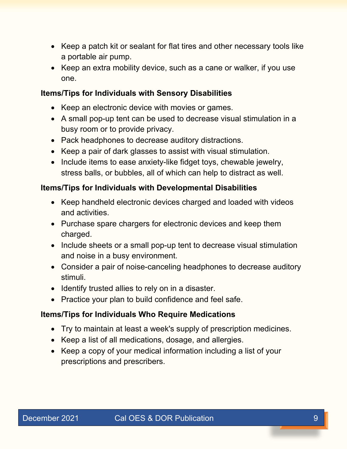- Keep a patch kit or sealant for flat tires and other necessary tools like a portable air pump.
- Keep an extra mobility device, such as a cane or walker, if you use one.

#### **Items/Tips for Individuals with Sensory Disabilities**

- Keep an electronic device with movies or games.
- A small pop-up tent can be used to decrease visual stimulation in a busy room or to provide privacy.
- Pack headphones to decrease auditory distractions.
- Keep a pair of dark glasses to assist with visual stimulation.
- Include items to ease anxiety-like fidget toys, chewable jewelry, stress balls, or bubbles, all of which can help to distract as well.

#### **Items/Tips for Individuals with Developmental Disabilities**

- Keep handheld electronic devices charged and loaded with videos and activities.
- Purchase spare chargers for electronic devices and keep them charged.
- Include sheets or a small pop-up tent to decrease visual stimulation and noise in a busy environment.
- Consider a pair of noise-canceling headphones to decrease auditory stimuli.
- Identify trusted allies to rely on in a disaster.
- Practice your plan to build confidence and feel safe.

# **Items/Tips for Individuals Who Require Medications**

- Try to maintain at least a week's supply of prescription medicines.
- Keep a list of all medications, dosage, and allergies.
- Keep a copy of your medical information including a list of your prescriptions and prescribers.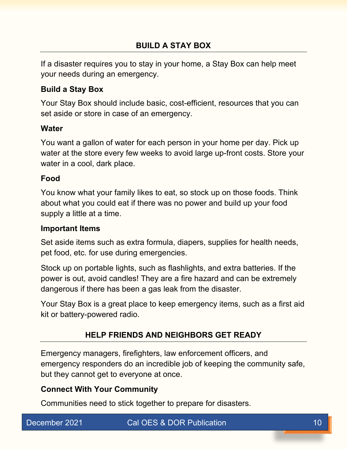<span id="page-9-0"></span>If a disaster requires you to stay in your home, a Stay Box can help meet your needs during an emergency.

#### **Build a Stay Box**

Your Stay Box should include basic, cost-efficient, resources that you can set aside or store in case of an emergency.

#### **Water**

You want a gallon of water for each person in your home per day. Pick up water at the store every few weeks to avoid large up-front costs. Store your water in a cool, dark place.

# **Food**

You know what your family likes to eat, so stock up on those foods. Think about what you could eat if there was no power and build up your food supply a little at a time.

#### **Important Items**

Set aside items such as extra formula, diapers, supplies for health needs, pet food, etc. for use during emergencies.

Stock up on portable lights, such as flashlights, and extra batteries. If the power is out, avoid candles! They are a fire hazard and can be extremely dangerous if there has been a gas leak from the disaster.

Your Stay Box is a great place to keep emergency items, such as a first aid kit or battery-powered radio.

# **HELP FRIENDS AND NEIGHBORS GET READY**

<span id="page-9-1"></span>Emergency managers, firefighters, law enforcement officers, and emergency responders do an incredible job of keeping the community safe, but they cannot get to everyone at once.

# **Connect With Your Community**

Communities need to stick together to prepare for disasters.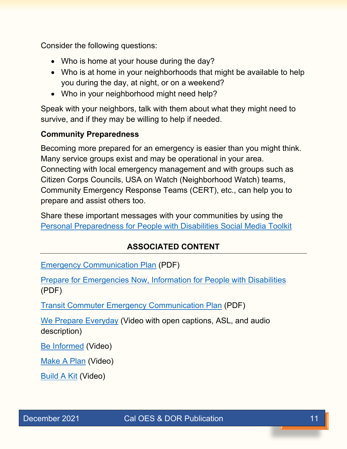Consider the following questions:

- Who is home at your house during the day?
- Who is at home in your neighborhoods that might be available to help you during the day, at night, or on a weekend?
- Who in your neighborhood might need help?

Speak with your neighbors, talk with them about what they might need to survive, and if they may be willing to help if needed.

#### **Community Preparedness**

Becoming more prepared for an emergency is easier than you might think. Many service groups exist and may be operational in your area. Connecting with local emergency management and with groups such as Citizen Corps Councils, USA on Watch (Neighborhood Watch) teams, Community Emergency Response Teams (CERT), etc., can help you to prepare and assist others too.

<span id="page-10-0"></span>Share these important messages with your communities by using the [Personal Preparedness for People with Disabilities Social Media Toolkit](https://www.ready.gov/disability-toolkit)

# **ASSOCIATED CONTENT**

[Emergency Communication Plan](https://www.ready.gov/sites/default/files/2020-03/create-your-family-emergency-communication-plan.pdf) (PDF)

[Prepare for Emergencies Now, Information for People with Disabilities](https://www.ready.gov/collection/disabilities) (PDF)

[Transit Commuter Emergency Communication Plan](https://www.ready.gov/sites/default/files/2020-03/commuter_emergency_plan.pdf) (PDF)

[We Prepare Everyday](https://www.youtube.com/watch?v=iGddWyoWkyg) (Video with open captions, ASL, and audio description)

[Be Informed](https://www.youtube.com/watch?v=3u6vo9Q-Uq4) (Video)

[Make A Plan](https://www.youtube.com/watch?v=TybjwGLHA88) (Video)

**[Build A Kit](https://www.youtube.com/watch?v=kJuDXorO9_g) (Video)**